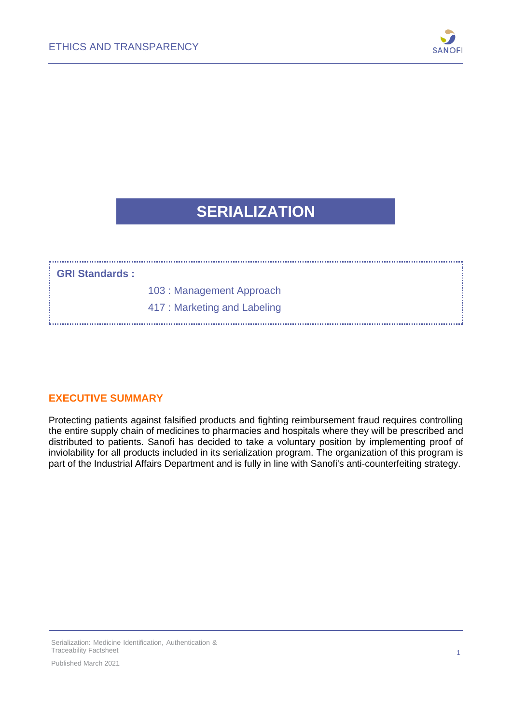

## **SERIALIZATION**

#### **GRI Standards :**

....................................

103 : Management Approach

417 : Marketing and Labeling

#### **EXECUTIVE SUMMARY**

Protecting patients against falsified products and fighting reimbursement fraud requires controlling the entire supply chain of medicines to pharmacies and hospitals where they will be prescribed and distributed to patients. Sanofi has decided to take a voluntary position by implementing proof of inviolability for all products included in its serialization program. The organization of this program is part of the Industrial Affairs Department and is fully in line with Sanofi's anti-counterfeiting strategy.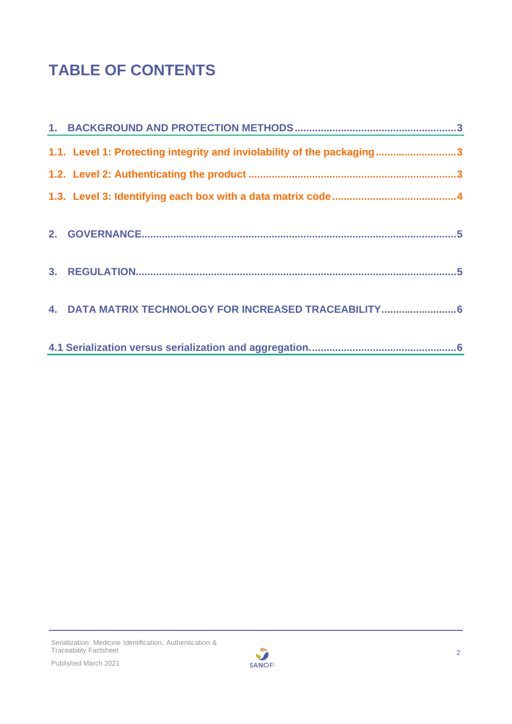# **TABLE OF CONTENTS**

| 1.1. Level 1: Protecting integrity and inviolability of the packaging3 |  |
|------------------------------------------------------------------------|--|
|                                                                        |  |
|                                                                        |  |
|                                                                        |  |
|                                                                        |  |
| 4. DATA MATRIX TECHNOLOGY FOR INCREASED TRACEABILITY6                  |  |
|                                                                        |  |

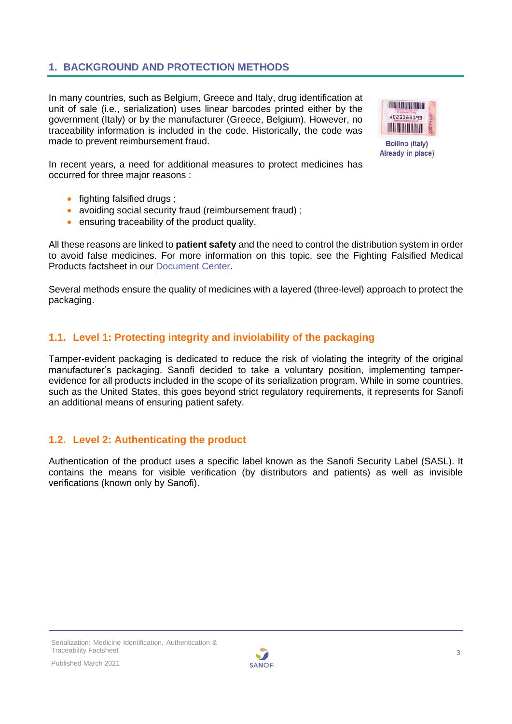### <span id="page-2-0"></span>**1. BACKGROUND AND PROTECTION METHODS**

In many countries, such as Belgium, Greece and Italy, drug identification at unit of sale (i.e., serialization) uses linear barcodes printed either by the government (Italy) or by the manufacturer (Greece, Belgium). However, no traceability information is included in the code. Historically, the code was made to prevent reimbursement fraud.



Already in place)

In recent years, a need for additional measures to protect medicines has occurred for three major reasons :

- fighting falsified drugs ;
- avoiding social security fraud (reimbursement fraud);
- ensuring traceability of the product quality.

All these reasons are linked to **patient safety** and the need to control the distribution system in order to avoid false medicines. For more information on this topic, see the Fighting Falsified Medical Products factsheet in our [Document](https://www.sanofi.com/en/our-responsibility/documents-center/) Center.

Several methods ensure the quality of medicines with a layered (three-level) approach to protect the packaging.

#### <span id="page-2-1"></span>**1.1. Level 1: Protecting integrity and inviolability of the packaging**

Tamper-evident packaging is dedicated to reduce the risk of violating the integrity of the original manufacturer's packaging. Sanofi decided to take a voluntary position, implementing tamperevidence for all products included in the scope of its serialization program. While in some countries, such as the United States, this goes beyond strict regulatory requirements, it represents for Sanofi an additional means of ensuring patient safety.

#### <span id="page-2-2"></span>**1.2. Level 2: Authenticating the product**

Authentication of the product uses a specific label known as the Sanofi Security Label (SASL). It contains the means for visible verification (by distributors and patients) as well as invisible verifications (known only by Sanofi).

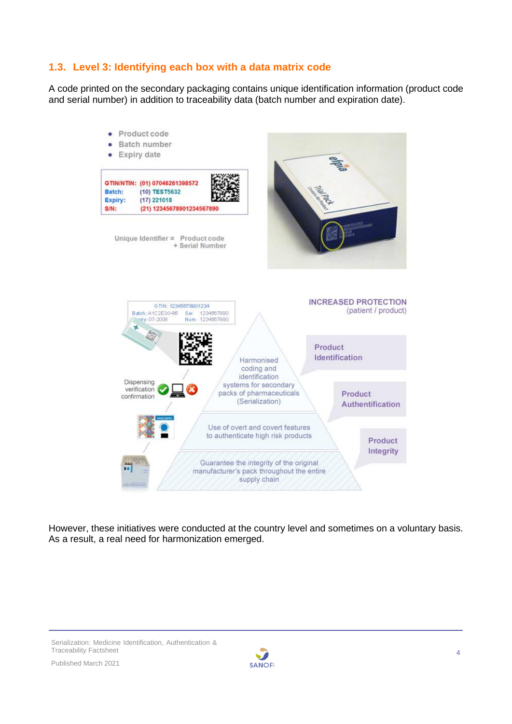#### <span id="page-3-0"></span>**1.3. Level 3: Identifying each box with a data matrix code**

A code printed on the secondary packaging contains unique identification information (product code and serial number) in addition to traceability data (batch number and expiration date).



However, these initiatives were conducted at the country level and sometimes on a voluntary basis. As a result, a real need for harmonization emerged.

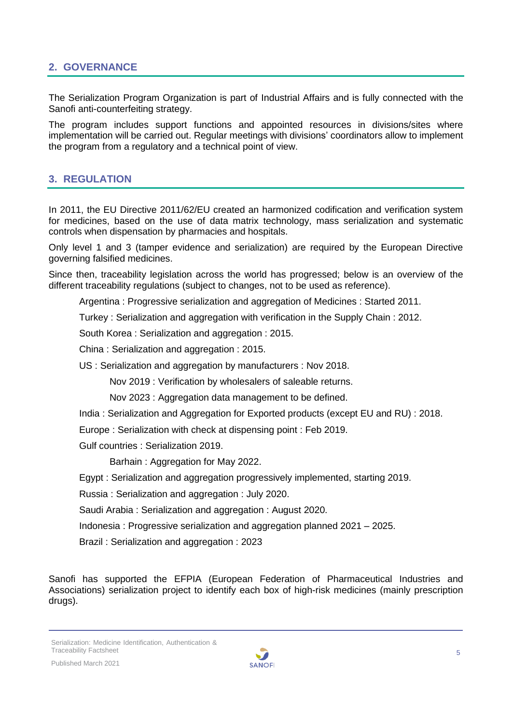#### <span id="page-4-0"></span>**2. GOVERNANCE**

The Serialization Program Organization is part of Industrial Affairs and is fully connected with the Sanofi anti-counterfeiting strategy.

The program includes support functions and appointed resources in divisions/sites where implementation will be carried out. Regular meetings with divisions' coordinators allow to implement the program from a regulatory and a technical point of view.

#### <span id="page-4-1"></span>**3. REGULATION**

In 2011, the EU Directive 2011/62/EU created an harmonized codification and verification system for medicines, based on the use of data matrix technology, mass serialization and systematic controls when dispensation by pharmacies and hospitals.

Only level 1 and 3 (tamper evidence and serialization) are required by the European Directive governing falsified medicines.

Since then, traceability legislation across the world has progressed; below is an overview of the different traceability regulations (subject to changes, not to be used as reference).

Argentina : Progressive serialization and aggregation of Medicines : Started 2011.

Turkey : Serialization and aggregation with verification in the Supply Chain : 2012.

South Korea : Serialization and aggregation : 2015.

China : Serialization and aggregation : 2015.

US : Serialization and aggregation by manufacturers : Nov 2018.

Nov 2019 : Verification by wholesalers of saleable returns.

Nov 2023 : Aggregation data management to be defined.

India : Serialization and Aggregation for Exported products (except EU and RU) : 2018.

Europe : Serialization with check at dispensing point : Feb 2019.

Gulf countries : Serialization 2019.

Barhain : Aggregation for May 2022.

Egypt : Serialization and aggregation progressively implemented, starting 2019.

Russia : Serialization and aggregation : July 2020.

Saudi Arabia : Serialization and aggregation : August 2020.

Indonesia : Progressive serialization and aggregation planned 2021 – 2025.

Brazil : Serialization and aggregation : 2023

Sanofi has supported the EFPIA (European Federation of Pharmaceutical Industries and Associations) serialization project to identify each box of high-risk medicines (mainly prescription drugs).

Serialization: Medicine Identification, Authentication & Traceability Factsheet

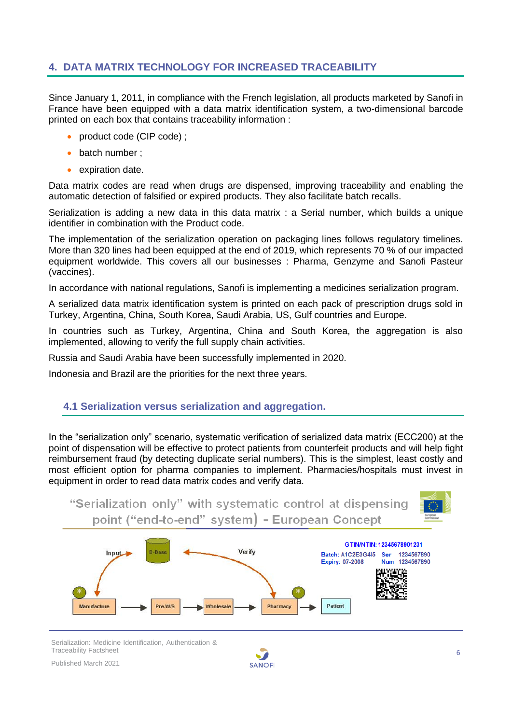#### <span id="page-5-0"></span>**4. DATA MATRIX TECHNOLOGY FOR INCREASED TRACEABILITY**

Since January 1, 2011, in compliance with the French legislation, all products marketed by Sanofi in France have been equipped with a data matrix identification system, a two-dimensional barcode printed on each box that contains traceability information :

- product code (CIP code);
- batch number :
- expiration date.

Data matrix codes are read when drugs are dispensed, improving traceability and enabling the automatic detection of falsified or expired products. They also facilitate batch recalls.

Serialization is adding a new data in this data matrix : a Serial number, which builds a unique identifier in combination with the Product code.

The implementation of the serialization operation on packaging lines follows regulatory timelines. More than 320 lines had been equipped at the end of 2019, which represents 70 % of our impacted equipment worldwide. This covers all our businesses : Pharma, Genzyme and Sanofi Pasteur (vaccines).

In accordance with national regulations, Sanofi is implementing a medicines serialization program.

A serialized data matrix identification system is printed on each pack of prescription drugs sold in Turkey, Argentina, China, South Korea, Saudi Arabia, US, Gulf countries and Europe.

In countries such as Turkey, Argentina, China and South Korea, the aggregation is also implemented, allowing to verify the full supply chain activities.

Russia and Saudi Arabia have been successfully implemented in 2020.

Indonesia and Brazil are the priorities for the next three years.

#### <span id="page-5-1"></span>**4.1 Serialization versus serialization and aggregation.**

In the "serialization only" scenario, systematic verification of serialized data matrix (ECC200) at the point of dispensation will be effective to protect patients from counterfeit products and will help fight reimbursement fraud (by detecting duplicate serial numbers). This is the simplest, least costly and most efficient option for pharma companies to implement. Pharmacies/hospitals must invest in equipment in order to read data matrix codes and verify data.



Serialization: Medicine Identification, Authentication & Traceability Factsheet

Published March 2021